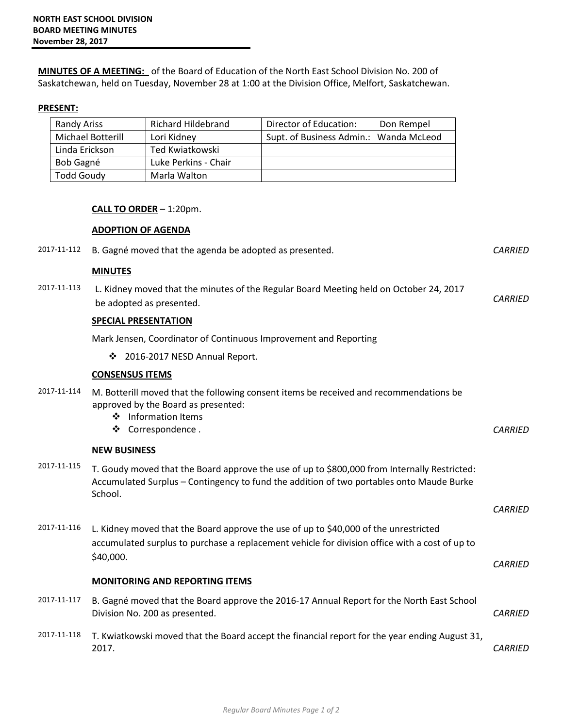**MINUTES OF A MEETING:** of the Board of Education of the North East School Division No. 200 of Saskatchewan, held on Tuesday, November 28 at 1:00 at the Division Office, Melfort, Saskatchewan.

## **PRESENT:**

| Randy Ariss       | Richard Hildebrand   | Director of Education:                 | Don Rempel |
|-------------------|----------------------|----------------------------------------|------------|
| Michael Botterill | Lori Kidney          | Supt. of Business Admin.: Wanda McLeod |            |
| Linda Erickson    | Ted Kwiatkowski      |                                        |            |
| Bob Gagné         | Luke Perkins - Chair |                                        |            |
| <b>Todd Goudy</b> | Marla Walton         |                                        |            |

## **CALL TO ORDER** – 1:20pm.

**ADOPTION OF AGENDA**

## 2017-11-112 B. Gagné moved that the agenda be adopted as presented. *CARRIED* **MINUTES** 2017-11-113 L. Kidney moved that the minutes of the Regular Board Meeting held on October 24, 2017 be adopted as presented. *CARRIED*  **SPECIAL PRESENTATION** Mark Jensen, Coordinator of Continuous Improvement and Reporting ❖ 2016-2017 NESD Annual Report. **CONSENSUS ITEMS** 2017-11-114 M. Botterill moved that the following consent items be received and recommendations be approved by the Board as presented: ❖ Information Items ◆ Correspondence . *CARRIED* **NEW BUSINESS** 2017-11-115 T. Goudy moved that the Board approve the use of up to \$800,000 from Internally Restricted: Accumulated Surplus – Contingency to fund the addition of two portables onto Maude Burke School. *CARRIED*  2017-11-116 L. Kidney moved that the Board approve the use of up to \$40,000 of the unrestricted accumulated surplus to purchase a replacement vehicle for division office with a cost of up to \$40,000. *CARRIED* **MONITORING AND REPORTING ITEMS** 2017-11-117 B. Gagné moved that the Board approve the 2016-17 Annual Report for the North East School Division No. 200 as presented. *CARRIED*  2017-11-118 T. Kwiatkowski moved that the Board accept the financial report for the year ending August 31, 2017. *CARRIED*